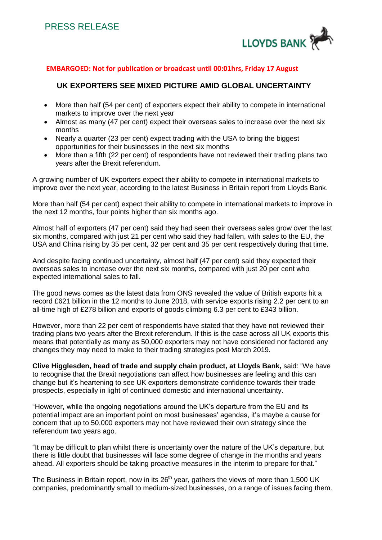

## **EMBARGOED: Not for publication or broadcast until 00:01hrs, Friday 17 August**

## **UK EXPORTERS SEE MIXED PICTURE AMID GLOBAL UNCERTAINTY**

- More than half (54 per cent) of exporters expect their ability to compete in international markets to improve over the next year
- Almost as many (47 per cent) expect their overseas sales to increase over the next six months
- Nearly a quarter (23 per cent) expect trading with the USA to bring the biggest opportunities for their businesses in the next six months
- More than a fifth (22 per cent) of respondents have not reviewed their trading plans two years after the Brexit referendum.

A growing number of UK exporters expect their ability to compete in international markets to improve over the next year, according to the latest Business in Britain report from Lloyds Bank.

More than half (54 per cent) expect their ability to compete in international markets to improve in the next 12 months, four points higher than six months ago.

Almost half of exporters (47 per cent) said they had seen their overseas sales grow over the last six months, compared with just 21 per cent who said they had fallen, with sales to the EU, the USA and China rising by 35 per cent, 32 per cent and 35 per cent respectively during that time.

And despite facing continued uncertainty, almost half (47 per cent) said they expected their overseas sales to increase over the next six months, compared with just 20 per cent who expected international sales to fall.

The good news comes as the latest data from ONS revealed the value of British exports hit a record £621 billion in the 12 months to June 2018, with service exports rising 2.2 per cent to an all-time high of £278 billion and exports of goods climbing 6.3 per cent to £343 billion.

However, more than 22 per cent of respondents have stated that they have not reviewed their trading plans two years after the Brexit referendum. If this is the case across all UK exports this means that potentially as many as 50,000 exporters may not have considered nor factored any changes they may need to make to their trading strategies post March 2019.

**Clive Higglesden, head of trade and supply chain product, at Lloyds Bank,** said: "We have to recognise that the Brexit negotiations can affect how businesses are feeling and this can change but it's heartening to see UK exporters demonstrate confidence towards their trade prospects, especially in light of continued domestic and international uncertainty.

"However, while the ongoing negotiations around the UK's departure from the EU and its potential impact are an important point on most businesses' agendas, it's maybe a cause for concern that up to 50,000 exporters may not have reviewed their own strategy since the referendum two years ago.

"It may be difficult to plan whilst there is uncertainty over the nature of the UK's departure, but there is little doubt that businesses will face some degree of change in the months and years ahead. All exporters should be taking proactive measures in the interim to prepare for that."

The Business in Britain report, now in its 26<sup>th</sup> year, gathers the views of more than 1,500 UK companies, predominantly small to medium-sized businesses, on a range of issues facing them.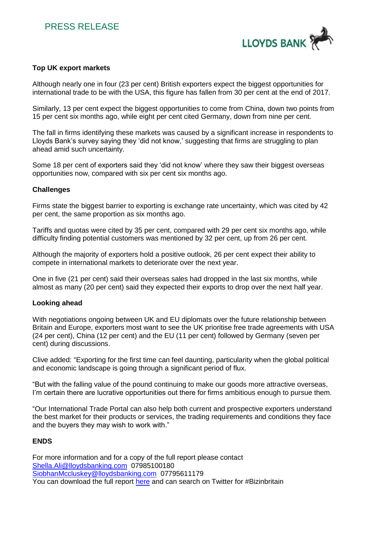

## **Top UK export markets**

Although nearly one in four (23 per cent) British exporters expect the biggest opportunities for international trade to be with the USA, this figure has fallen from 30 per cent at the end of 2017.

Similarly, 13 per cent expect the biggest opportunities to come from China, down two points from 15 per cent six months ago, while eight per cent cited Germany, down from nine per cent.

The fall in firms identifying these markets was caused by a significant increase in respondents to Lloyds Bank's survey saying they 'did not know,' suggesting that firms are struggling to plan ahead amid such uncertainty.

Some 18 per cent of exporters said they 'did not know' where they saw their biggest overseas opportunities now, compared with six per cent six months ago.

## **Challenges**

Firms state the biggest barrier to exporting is exchange rate uncertainty, which was cited by 42 per cent, the same proportion as six months ago.

Tariffs and quotas were cited by 35 per cent, compared with 29 per cent six months ago, while difficulty finding potential customers was mentioned by 32 per cent, up from 26 per cent.

Although the majority of exporters hold a positive outlook, 26 per cent expect their ability to compete in international markets to deteriorate over the next year.

One in five (21 per cent) said their overseas sales had dropped in the last six months, while almost as many (20 per cent) said they expected their exports to drop over the next half year.

#### **Looking ahead**

With negotiations ongoing between UK and EU diplomats over the future relationship between Britain and Europe, exporters most want to see the UK prioritise free trade agreements with USA (24 per cent), China (12 per cent) and the EU (11 per cent) followed by Germany (seven per cent) during discussions.

Clive added: "Exporting for the first time can feel daunting, particularity when the global political and economic landscape is going through a significant period of flux.

"But with the falling value of the pound continuing to make our goods more attractive overseas, I'm certain there are lucrative opportunities out there for firms ambitious enough to pursue them.

"Our International Trade Portal can also help both current and prospective exporters understand the best market for their products or services, the trading requirements and conditions they face and the buyers they may wish to work with."

## **ENDS**

For more information and for a copy of the full report please contact [Shella.Ali@lloydsbanking.com](mailto:Shella.Ali@lloydsbanking.com) 07985100180 [SiobhanMccluskey@lloydsbanking.com](mailto:SiobhanMccluskey@lloydsbanking.com) 07795611179 You can download the full report [here](https://resources.lloydsbank.com/insight/business-in-britain-july-2018/) and can search on Twitter for #Bizinbritain